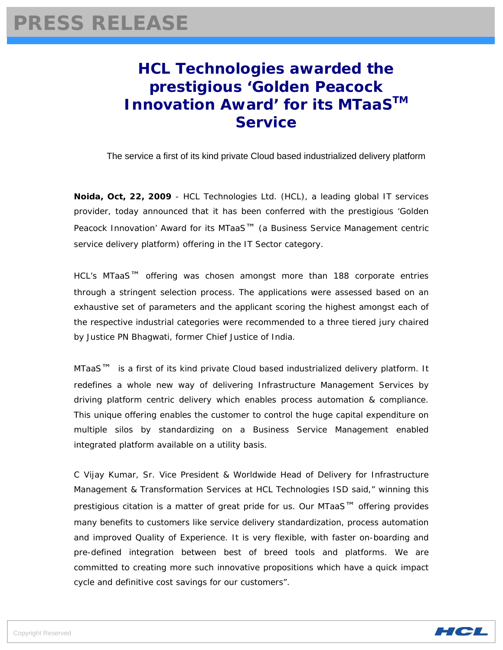### **PRESS RELEASE**

### **HCL Technologies awarded the prestigious 'Golden Peacock Innovation Award' for its MTaaSTM Service**

The service a first of its kind private Cloud based industrialized delivery platform

**Noida, Oct, 22, 2009** - HCL Technologies Ltd. (HCL), a leading global IT services provider, today announced that it has been conferred with the prestigious 'Golden Peacock Innovation' Award for its MTaaS™ (a Business Service Management centric service delivery platform) offering in the IT Sector category.

HCL's MTaaS™ offering was chosen amongst more than 188 corporate entries through a stringent selection process. The applications were assessed based on an exhaustive set of parameters and the applicant scoring the highest amongst each of the respective industrial categories were recommended to a three tiered jury chaired by Justice PN Bhagwati, former Chief Justice of India.

MTaaS™ is a first of its kind private Cloud based industrialized delivery platform. It redefines a whole new way of delivering Infrastructure Management Services by driving platform centric delivery which enables process automation & compliance. This unique offering enables the customer to control the huge capital expenditure on multiple silos by standardizing on a Business Service Management enabled integrated platform available on a utility basis.

C Vijay Kumar, Sr. Vice President & Worldwide Head of Delivery for Infrastructure Management & Transformation Services at HCL Technologies ISD said," winning this prestigious citation is a matter of great pride for us. Our MTaaS™ offering provides many benefits to customers like service delivery standardization, process automation and improved Quality of Experience. It is very flexible, with faster on-boarding and pre-defined integration between best of breed tools and platforms. We are committed to creating more such innovative propositions which have a quick impact cycle and definitive cost savings for our customers".

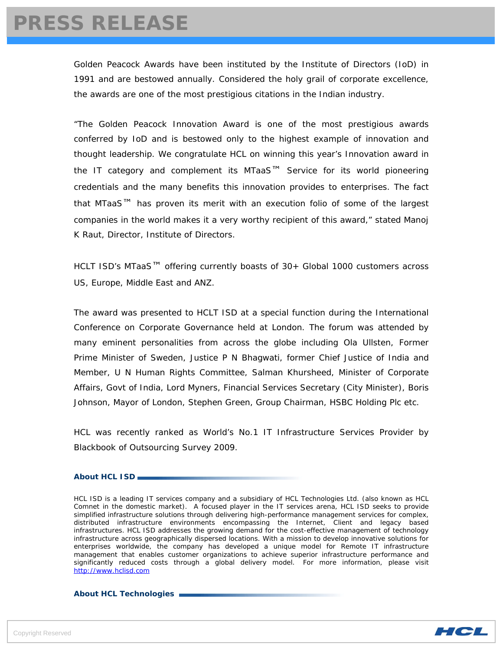## **PRESS RELEASE**

Golden Peacock Awards have been instituted by the Institute of Directors (IoD) in 1991 and are bestowed annually. Considered the holy grail of corporate excellence, the awards are one of the most prestigious citations in the Indian industry.

"The Golden Peacock Innovation Award is one of the most prestigious awards conferred by IoD and is bestowed only to the highest example of innovation and thought leadership. We congratulate HCL on winning this year's Innovation award in the IT category and complement its MTaaS™ Service for its world pioneering credentials and the many benefits this innovation provides to enterprises. The fact that MTaaS™ has proven its merit with an execution folio of some of the largest companies in the world makes it a very worthy recipient of this award," stated Manoj K Raut, Director, Institute of Directors.

HCLT ISD's MTaaS™ offering currently boasts of 30+ Global 1000 customers across US, Europe, Middle East and ANZ.

The award was presented to HCLT ISD at a special function during the International Conference on Corporate Governance held at London. The forum was attended by many eminent personalities from across the globe including Ola Ullsten, Former Prime Minister of Sweden, Justice P N Bhagwati, former Chief Justice of India and Member, U N Human Rights Committee, Salman Khursheed, Minister of Corporate Affairs, Govt of India, Lord Myners, Financial Services Secretary (City Minister), Boris Johnson, Mayor of London, Stephen Green, Group Chairman, HSBC Holding Plc etc.

HCL was recently ranked as World's No.1 IT Infrastructure Services Provider by Blackbook of Outsourcing Survey 2009.

#### **About HCL ISD**

**About HCL Technologies** 



HCL ISD is a leading IT services company and a subsidiary of HCL Technologies Ltd. (also known as HCL Comnet in the domestic market). A focused player in the IT services arena, HCL ISD seeks to provide simplified infrastructure solutions through delivering high-performance management services for complex, distributed infrastructure environments encompassing the Internet, Client and legacy based infrastructures. HCL ISD addresses the growing demand for the cost-effective management of technology infrastructure across geographically dispersed locations. With a mission to develop innovative solutions for enterprises worldwide, the company has developed a unique model for Remote IT infrastructure management that enables customer organizations to achieve superior infrastructure performance and significantly reduced costs through a global delivery model. For more information, please visit [http://www.hclisd.com](http://www.hclisd.com/)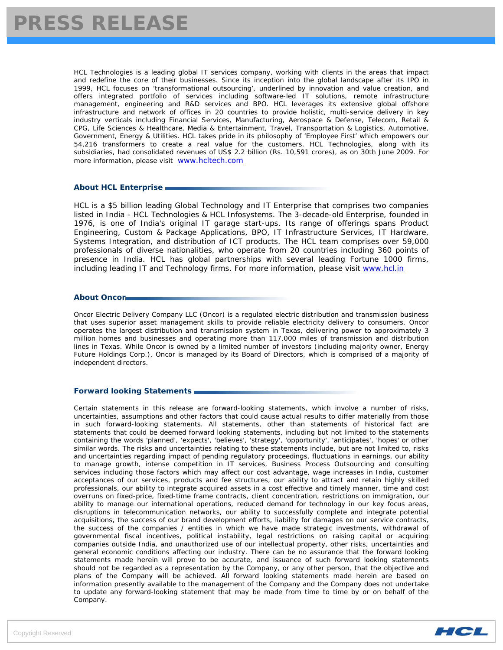HCL Technologies is a leading global IT services company, working with clients in the areas that impact and redefine the core of their businesses. Since its inception into the global landscape after its IPO in 1999, HCL focuses on 'transformational outsourcing', underlined by innovation and value creation, and offers integrated portfolio of services including software-led IT solutions, remote infrastructure management, engineering and R&D services and BPO. HCL leverages its extensive global offshore infrastructure and network of offices in 20 countries to provide holistic, multi-service delivery in key industry verticals including Financial Services, Manufacturing, Aerospace & Defense, Telecom, Retail & CPG, Life Sciences & Healthcare, Media & Entertainment, Travel, Transportation & Logistics, Automotive, Government, Energy & Utilities. HCL takes pride in its philosophy of 'Employee First' which empowers our 54,216 transformers to create a real value for the customers. HCL Technologies, along with its subsidiaries, had consolidated revenues of US\$ 2.2 billion (Rs. 10,591 crores), as on 30th June 2009. For more information, please visit [www.hcltech.com](http://www.hcltech.com/)

#### **About HCL Enterprise**

HCL is a \$5 billion leading Global Technology and IT Enterprise that comprises two companies listed in India - HCL Technologies & HCL Infosystems. The 3-decade-old Enterprise, founded in 1976, is one of India's original IT garage start-ups. Its range of offerings spans Product Engineering, Custom & Package Applications, BPO, IT Infrastructure Services, IT Hardware, Systems Integration, and distribution of ICT products. The HCL team comprises over 59,000 professionals of diverse nationalities, who operate from 20 countries including 360 points of presence in India. HCL has global partnerships with several leading Fortune 1000 firms, including leading IT and Technology firms. For more information, please visit [www.hcl.in](http://www.hcl.in/) 

#### **About Oncor**

Oncor Electric Delivery Company LLC (Oncor) is a regulated electric distribution and transmission business that uses superior asset management skills to provide reliable electricity delivery to consumers. Oncor operates the largest distribution and transmission system in Texas, delivering power to approximately 3 million homes and businesses and operating more than 117,000 miles of transmission and distribution lines in Texas. While Oncor is owned by a limited number of investors (including majority owner, Energy Future Holdings Corp.), Oncor is managed by its Board of Directors, which is comprised of a majority of independent directors.

#### **Forward looking Statements**

Certain statements in this release are forward-looking statements, which involve a number of risks, uncertainties, assumptions and other factors that could cause actual results to differ materially from those in such forward-looking statements. All statements, other than statements of historical fact are statements that could be deemed forward looking statements, including but not limited to the statements containing the words 'planned', 'expects', 'believes', 'strategy', 'opportunity', 'anticipates', 'hopes' or other similar words. The risks and uncertainties relating to these statements include, but are not limited to, risks and uncertainties regarding impact of pending regulatory proceedings, fluctuations in earnings, our ability to manage growth, intense competition in IT services, Business Process Outsourcing and consulting services including those factors which may affect our cost advantage, wage increases in India, customer acceptances of our services, products and fee structures, our ability to attract and retain highly skilled professionals, our ability to integrate acquired assets in a cost effective and timely manner, time and cost overruns on fixed-price, fixed-time frame contracts, client concentration, restrictions on immigration, our ability to manage our international operations, reduced demand for technology in our key focus areas, disruptions in telecommunication networks, our ability to successfully complete and integrate potential acquisitions, the success of our brand development efforts, liability for damages on our service contracts, the success of the companies / entities in which we have made strategic investments, withdrawal of governmental fiscal incentives, political instability, legal restrictions on raising capital or acquiring companies outside India, and unauthorized use of our intellectual property, other risks, uncertainties and general economic conditions affecting our industry. There can be no assurance that the forward looking statements made herein will prove to be accurate, and issuance of such forward looking statements should not be regarded as a representation by the Company, or any other person, that the objective and plans of the Company will be achieved. All forward looking statements made herein are based on information presently available to the management of the Company and the Company does not undertake to update any forward-looking statement that may be made from time to time by or on behalf of the Company.